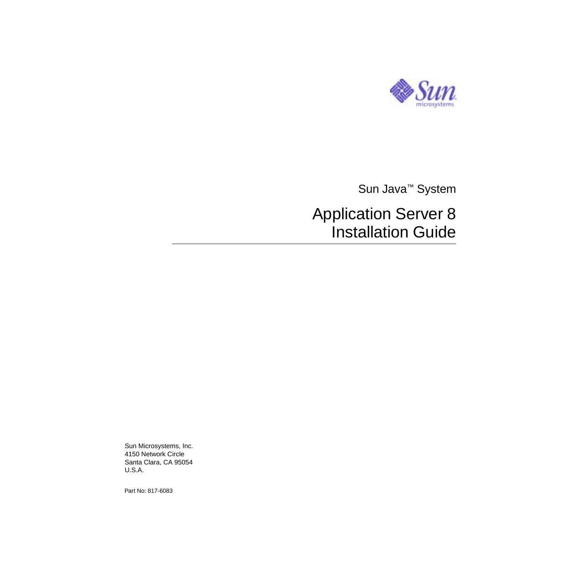

## Sun Java<sup>™</sup> System

Application Server 8 Installation Guide

Sun Microsystems, Inc. 4150 Network Circle Santa Clara, CA 95054 U.S.A.

Part No: 817-6083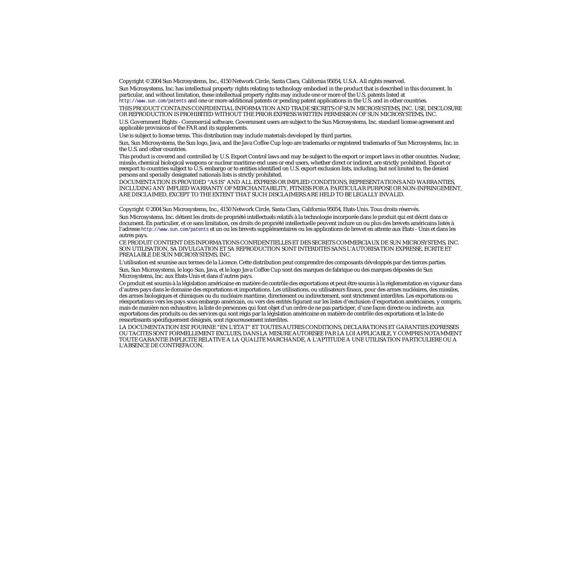Copyright © 2004 Sun Microsystems, Inc., 4150 Network Circle, Santa Clara, California 95054, U.S.A. All rights reserved. Sun Microsystems, Inc. has intellectual property rights relating to technology embodied in the product that is described in this document. In particular, and without limitation, these intellectual property rights may include one or more of the U.S. patents listed at http://www.sun.com/patents and one or more additional patents or pending patent applications in the U.S. and in other countries.

THIS PRODUCT CONTAINS CONFIDENTIAL INFORMATION AND TRADE SECRETS OF SUN MICROSYSTEMS, INC. USE, DISCLOSURE OR REPRODUCTION IS PROHIBITED WITHOUT THE PRIOR EXPRESS WRITTEN PERMISSION OF SUN MICROSYSTEMS, INC.

U.S. Government Rights - Commercial software. Government users are subject to the Sun Microsystems, Inc. standard license agreement and applicable provisions of the FAR and its supplements.

Use is subject to license terms. This distribution may include materials developed by third parties.

Sun, Sun Microsystems, the Sun logo, Java, and the Java Coffee Cup logo are trademarks or registered trademarks of Sun Microsystems, Inc. in the U.S. and other countries.

This product is covered and controlled by U.S. Export Control laws and may be subject to the export or import laws in other countries. Nuclear, missile, chemical biological weapons or nuclear maritime end uses or end users, whether direct or indirect, are strictly prohibited. Export or reexport to countries subject to U.S. embargo or to entities identified on U.S. export exclusion lists, including, but not limited to, the denied persons and specially designated nationals lists is strictly prohibited.

DOCUMENTATION IS PROVIDED "AS IS" AND ALL EXPRESS OR IMPLIED CONDITIONS, REPRESENTATIONS AND WARRANTIES, INCLUDING ANY IMPLIED WARRANTY OF MERCHANTABILITY, FITNESS FOR A PARTICULAR PURPOSE OR NON-INFRINGEMENT, ARE DISCLAIMED, EXCEPT TO THE EXTENT THAT SUCH DISCLAIMERS ARE HELD TO BE LEGALLY INVALID.

Copyright © 2004 Sun Microsystems, Inc., 4150 Network Circle, Santa Clara, California 95054, Etats-Unis. Tous droits réservés. Sun Microsystems, Inc. détient les droits de propriété intellectuels relatifs à la technologie incorporée dans le produit qui est décrit dans ce document. En particulier, et ce sans limitation, ces droits de propriété intellectuelle peuvent inclure un ou plus des brevets américains listés à l'adresse http://www.sun.com/patents et un ou les brevets supplémentaires ou les applications de brevet en attente aux Etats - Unis et dans les autres pays.

\_\_\_\_\_\_\_\_\_\_\_\_\_\_\_\_\_\_\_\_\_\_\_\_\_\_\_\_\_\_\_\_\_\_\_\_\_\_\_\_\_\_\_\_\_\_\_\_\_\_\_\_\_\_\_\_\_\_\_\_\_\_\_\_\_\_\_\_\_\_\_\_\_\_\_\_\_\_\_\_\_\_\_\_\_\_\_\_\_\_\_\_\_\_\_\_\_\_\_\_\_\_\_\_\_\_\_\_\_\_\_

CE PRODUIT CONTIENT DES INFORMATIONS CONFIDENTIELLES ET DES SECRETS COMMERCIAUX DE SUN MICROSYSTEMS, INC. SON UTILISATION, SA DIVULGATION ET SA REPRODUCTION SONT INTERDITES SANS L'AUTORISATION EXPRESSE, ECRITE ET PREALABLE DE SUN MICROSYSTEMS, INC.

L'utilisation est soumise aux termes de la Licence. Cette distribution peut comprendre des composants développés par des tierces parties. Sun, Sun Microsystems, le logo Sun, Java, et le logo Java Coffee Cup sont des marques de fabrique ou des marques déposées de Sun Microsystems, Inc. aux Etats-Unis et dans d'autres pays.

Ce produit est soumis à la législation américaine en matière de contrôle des exportations et peut être soumis à la règlementation en vigueur dans d'autres pays dans le domaine des exportations et importations. Les utilisations, ou utilisateurs finaux, pour des armes nucléaires, des missiles, des armes biologiques et chimiques ou du nucléaire maritime, directement ou indirectement, sont strictement interdites. Les exportations ou réexportations vers les pays sous embargo américain, ou vers des entités figurant sur les listes d'exclusion d'exportation américaines, y compris, mais de manière non exhaustive, la liste de personnes qui font objet d'un ordre de ne pas participer, d'une façon directe ou indirecte, aux exportations des produits ou des services qui sont régis par la législation américaine en matière de contrôle des exportations et la liste de ressortissants spécifiquement désignés, sont rigoureusement interdites.

LA DOCUMENTATION EST FOURNIE "EN L'ETAT" ET TOUTES AUTRES CONDITIONS, DECLARATIONS ET GARANTIES EXPRESSES OU TACITES SONT FORMELLEMENT EXCLUES, DANS LA MESURE AUTORISEE PAR LA LOI APPLICABLE, Y COMPRIS NOTAMMENT TOUTE GARANTIE IMPLICITE RELATIVE A LA QUALITE MARCHANDE, A L'APTITUDE A UNE UTILISATION PARTICULIERE OU A L'ABSENCE DE CONTREFACON.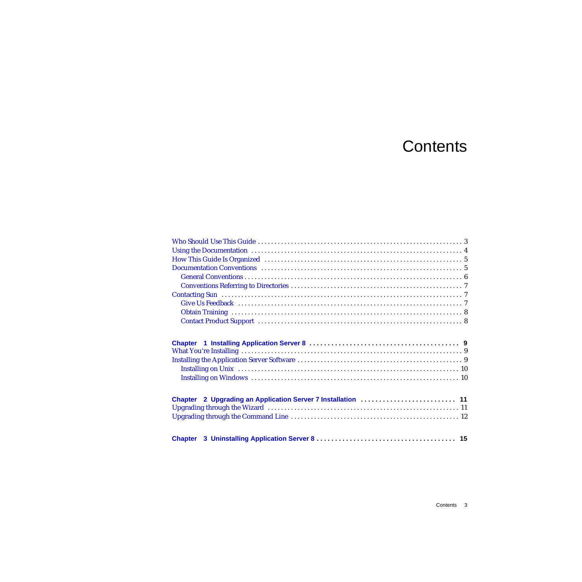# **Contents**

| Chapter 2 Upgrading an Application Server 7 Installation  11 |
|--------------------------------------------------------------|
|                                                              |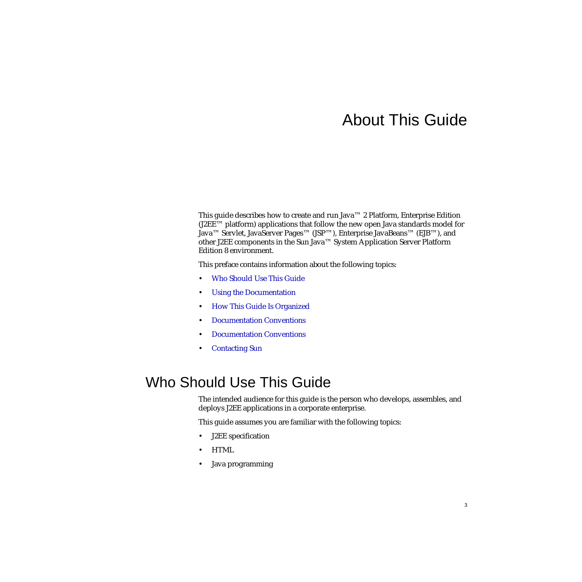# About This Guide

This guide describes how to create and run Java™ 2 Platform, Enterprise Edition (J2EE™ platform) applications that follow the new open Java standards model for Java™ Servlet, JavaServer Pages™ (JSP™), Enterprise JavaBeans™ (EJB™), and other J2EE components in the Sun Java™ System Application Server Platform Edition 8 environment.

This preface contains information about the following topics:

- [Who Should Use This Guide](#page-4-0)
- [Using the Documentation](#page-5-0)
- [How This Guide Is Organized](#page-6-0)
- [Documentation Conventions](#page-6-1)
- [Documentation Conventions](#page-6-1)
- [Contacting Sun](#page-8-1)

## <span id="page-4-0"></span>Who Should Use This Guide

The intended audience for this guide is the person who develops, assembles, and deploys J2EE applications in a corporate enterprise.

This guide assumes you are familiar with the following topics:

- J2EE specification
- HTML
- Java programming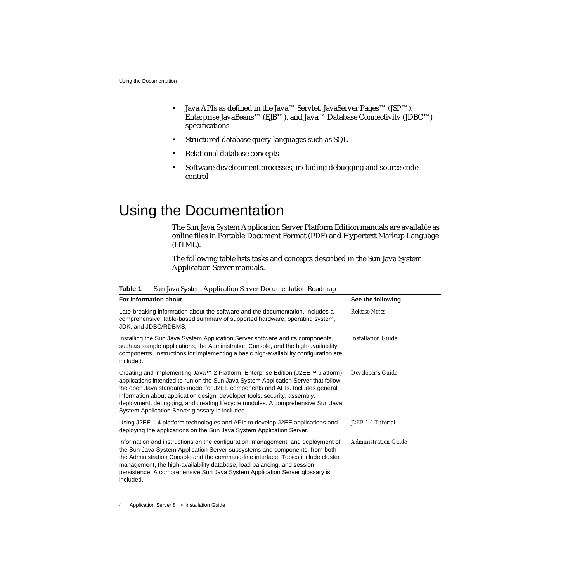- Java APIs as defined in the Java<sup>™</sup> Servlet, JavaServer Pages<sup>™</sup> (JSP<sup>™</sup>), Enterprise JavaBeans™ (EJB™), and Java™ Database Connectivity (JDBC™) specifications
- Structured database query languages such as SQL
- Relational database concepts
- Software development processes, including debugging and source code control

### <span id="page-5-0"></span>Using the Documentation

The Sun Java System Application Server Platform Edition manuals are available as online files in Portable Document Format (PDF) and Hypertext Markup Language (HTML).

The following table lists tasks and concepts described in the Sun Java System Application Server manuals.

| For information about                                                                                                                                                                                                                                                                                                                                                                                                                                                     | See the following           |
|---------------------------------------------------------------------------------------------------------------------------------------------------------------------------------------------------------------------------------------------------------------------------------------------------------------------------------------------------------------------------------------------------------------------------------------------------------------------------|-----------------------------|
| Late-breaking information about the software and the documentation. Includes a<br>comprehensive, table-based summary of supported hardware, operating system,<br>JDK, and JDBC/RDBMS.                                                                                                                                                                                                                                                                                     | <b>Release Notes</b>        |
| Installing the Sun Java System Application Server software and its components,<br>such as sample applications, the Administration Console, and the high-availability<br>components. Instructions for implementing a basic high-availability configuration are<br>included.                                                                                                                                                                                                | <b>Installation Guide</b>   |
| Creating and implementing Java™ 2 Platform, Enterprise Edition (J2EE™ platform)<br>applications intended to run on the Sun Java System Application Server that follow<br>the open Java standards model for J2EE components and APIs. Includes general<br>information about application design, developer tools, security, assembly,<br>deployment, debugging, and creating lifecycle modules. A comprehensive Sun Java<br>System Application Server glossary is included. | Developer's Guide           |
| Using J2EE 1.4 platform technologies and APIs to develop J2EE applications and<br>deploying the applications on the Sun Java System Application Server.                                                                                                                                                                                                                                                                                                                   | <b>J2EE 1.4 Tutorial</b>    |
| Information and instructions on the configuration, management, and deployment of<br>the Sun Java System Application Server subsystems and components, from both<br>the Administration Console and the command-line interface. Topics include cluster<br>management, the high-availability database, load balancing, and session<br>persistence. A comprehensive Sun Java System Application Server glossary is<br>included.                                               | <b>Administration Guide</b> |

**Table 1** Sun Java System Application Server Documentation Roadmap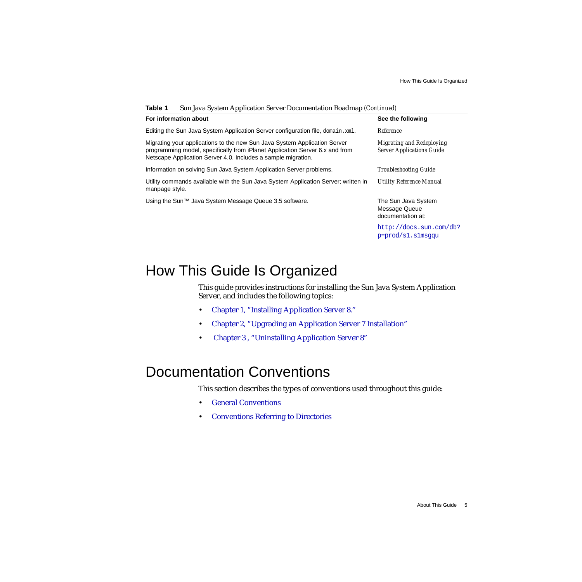| For information about                                                                                                                                                                                                      | See the following                                                    |
|----------------------------------------------------------------------------------------------------------------------------------------------------------------------------------------------------------------------------|----------------------------------------------------------------------|
| Editing the Sun Java System Application Server configuration file, domain.xml.                                                                                                                                             | Reference                                                            |
| Migrating your applications to the new Sun Java System Application Server<br>programming model, specifically from iPlanet Application Server 6.x and from<br>Netscape Application Server 4.0. Includes a sample migration. | <b>Migrating and Redeploying</b><br><b>Server Applications Guide</b> |
| Information on solving Sun Java System Application Server problems.                                                                                                                                                        | <b>Troubleshooting Guide</b>                                         |
| Utility commands available with the Sun Java System Application Server; written in<br>manpage style.                                                                                                                       | <b>Utility Reference Manual</b>                                      |
| Using the Sun™ Java System Message Queue 3.5 software.                                                                                                                                                                     | The Sun Java System<br>Message Queue<br>documentation at:            |
|                                                                                                                                                                                                                            | http://docs.sun.com/db?<br>p=prod/s1.s1msqqu                         |

#### **Table 1** Sun Java System Application Server Documentation Roadmap *(Continued)*

### <span id="page-6-0"></span>How This Guide Is Organized

This guide provides instructions for installing the Sun Java System Application Server, and includes the following topics:

- [Chapter 1, "Installing Application Server 8."](#page-10-4)
- [Chapter 2, "Upgrading an Application Server 7 Installation"](#page-12-3)
- • [Chapter 3 , "Uninstalling Application Server 8"](#page-16-2)

### <span id="page-6-1"></span>Documentation Conventions

This section describes the types of conventions used throughout this guide:

- [General Conventions](#page-7-0)
- [Conventions Referring to Directories](#page-8-0)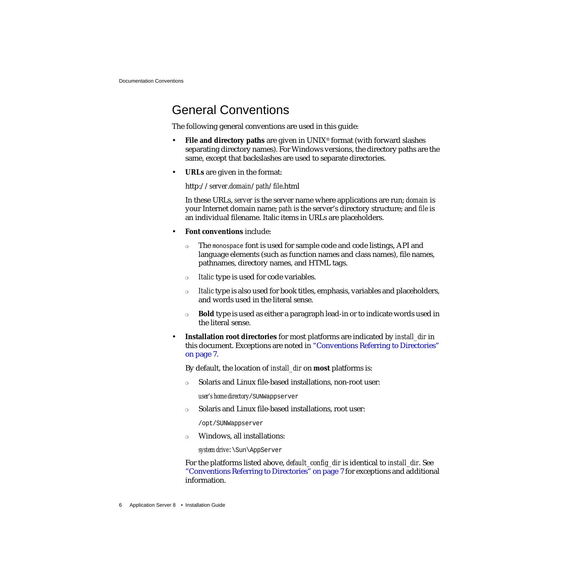#### <span id="page-7-0"></span>General Conventions

The following general conventions are used in this guide:

- **File and directory paths** are given in UNIX® format (with forward slashes separating directory names). For Windows versions, the directory paths are the same, except that backslashes are used to separate directories.
- **URLs** are given in the format:

#### http://*server*.*domain*/*path*/*file*.html

In these URLs, *server* is the server name where applications are run; *domain* is your Internet domain name; *path* is the server's directory structure; and *file* is an individual filename. Italic items in URLs are placeholders.

- **Font conventions** include:
	- ❍ The monospace font is used for sample code and code listings, API and language elements (such as function names and class names), file names, pathnames, directory names, and HTML tags.
	- ❍ *Italic* type is used for code variables.
	- ❍ *Italic* type is also used for book titles, emphasis, variables and placeholders, and words used in the literal sense.
	- ❍ **Bold** type is used as either a paragraph lead-in or to indicate words used in the literal sense.
- **Installation root directories** for most platforms are indicated by *install\_dir* in this document. Exceptions are noted in ["Conventions Referring to Directories"](#page-8-0) [on page 7.](#page-8-0)

By default, the location of *install\_dir* on **most** platforms is:

❍ Solaris and Linux file-based installations, non-root user:

*user's home directory*/SUNWappserver

❍ Solaris and Linux file-based installations, root user:

/opt/SUNWappserver

❍ Windows, all installations:

*system drive*:\Sun\AppServer

For the platforms listed above, *default\_config\_dir* is identical to *install\_dir*. See ["Conventions Referring to Directories" on page 7](#page-8-0) for exceptions and additional information.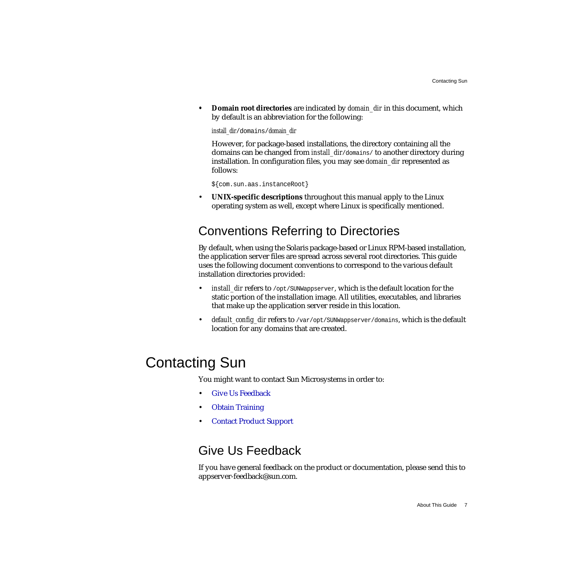**• Domain root directories** are indicated by *domain\_dir* in this document, which by default is an abbreviation for the following:

*install\_dir*/domains/*domain\_dir*

However, for package-based installations, the directory containing all the domains can be changed from *install\_dir*/domains/ to another directory during installation. In configuration files, you may see *domain\_dir* represented as follows:

\${com.sun.aas.instanceRoot}

• **UNIX-specific descriptions** throughout this manual apply to the Linux operating system as well, except where Linux is specifically mentioned.

#### <span id="page-8-0"></span>Conventions Referring to Directories

By default, when using the Solaris package-based or Linux RPM-based installation, the application server files are spread across several root directories. This guide uses the following document conventions to correspond to the various default installation directories provided:

- *install\_dir* refers to /opt/SUNWappserver, which is the default location for the static portion of the installation image. All utilities, executables, and libraries that make up the application server reside in this location.
- *default\_config\_dir* refers to /var/opt/SUNWappserver/domains, which is the default location for any domains that are created.

### <span id="page-8-1"></span>Contacting Sun

You might want to contact Sun Microsystems in order to:

- [Give Us Feedback](#page-8-2)
- [Obtain Training](#page-9-1)
- [Contact Product Support](#page-9-0)

#### <span id="page-8-2"></span>Give Us Feedback

If you have general feedback on the product or documentation, please send this to appserver-feedback@sun.com.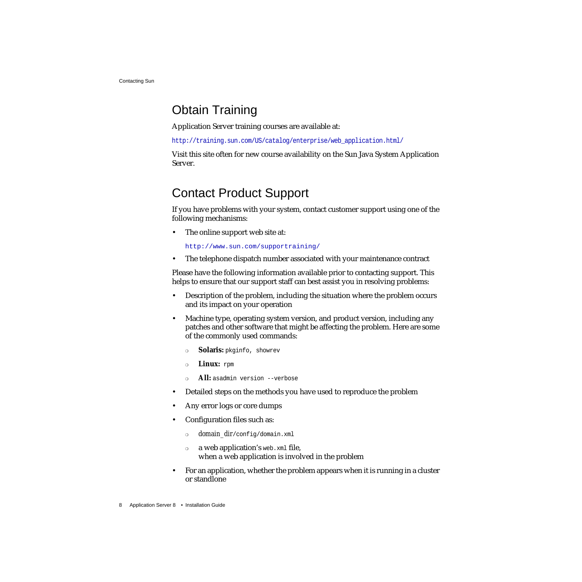#### <span id="page-9-1"></span>Obtain Training

Application Server training courses are available at:

http://training.sun.com/US/catalog/enterprise/web\_application.html/

Visit this site often for new course availability on the Sun Java System Application Server.

#### <span id="page-9-0"></span>Contact Product Support

If you have problems with your system, contact customer support using one of the following mechanisms:

• The online support web site at:

http://www.sun.com/supportraining/

• The telephone dispatch number associated with your maintenance contract

Please have the following information available prior to contacting support. This helps to ensure that our support staff can best assist you in resolving problems:

- Description of the problem, including the situation where the problem occurs and its impact on your operation
- Machine type, operating system version, and product version, including any patches and other software that might be affecting the problem. Here are some of the commonly used commands:
	- ❍ **Solaris:** pkginfo, showrev
	- ❍ **Linux:** rpm
	- ❍ **All:** asadmin version --verbose
- Detailed steps on the methods you have used to reproduce the problem
- Any error logs or core dumps
- Configuration files such as:
	- ❍ *domain\_dir*/config/domain.xml
	- ❍ a web application's web.xml file, when a web application is involved in the problem
- For an application, whether the problem appears when it is running in a cluster or standlone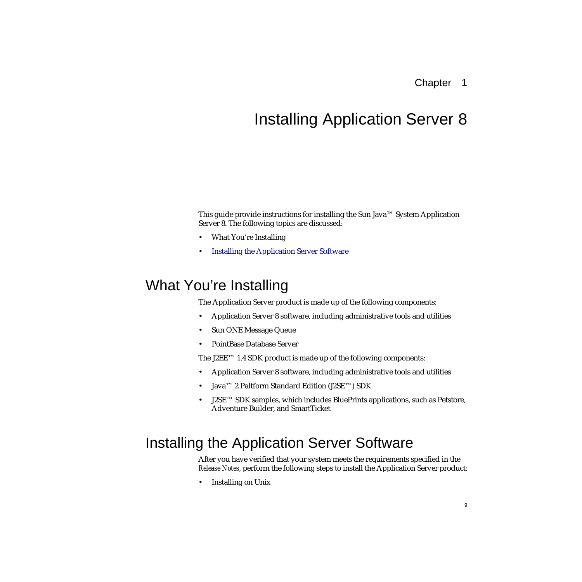# <span id="page-10-4"></span><span id="page-10-1"></span><span id="page-10-0"></span>Installing Application Server 8

This guide provide instructions for installing the Sun Java™ System Application Server 8. The following topics are discussed:

- • [What You're Installing](#page-10-2)
- [Installing the Application Server Software](#page-10-3)

# <span id="page-10-2"></span>What You're Installing

The Application Server product is made up of the following components:

- Application Server 8 software, including administrative tools and utilities
- Sun ONE Message Queue
- PointBase Database Server

The J2EE™ 1.4 SDK product is made up of the following components:

- Application Server 8 software, including administrative tools and utilities
- Java™ 2 Paltform Standard Edition (J2SE™) SDK
- J2SE<sup>™</sup> SDK samples, which includes BluePrints applications, such as Petstore, Adventure Builder, and SmartTicket

# <span id="page-10-3"></span>Installing the Application Server Software

After you have verified that your system meets the requirements specified in the *[Release Notes](releasenotes.html)*, perform the following steps to install the Application Server product:

• [Installing on Unix](#page-11-0)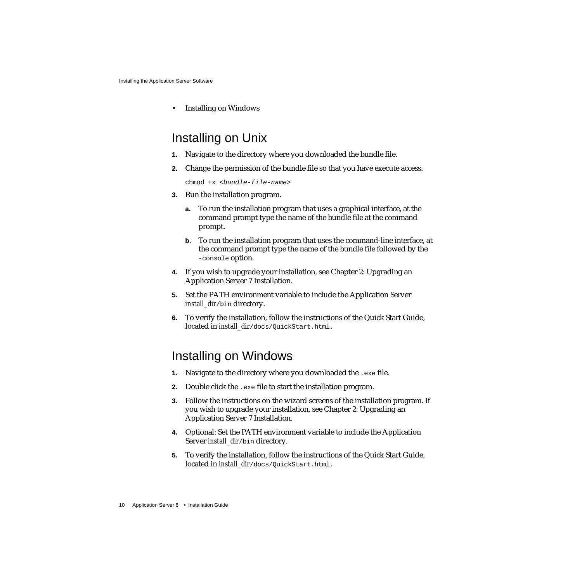• [Installing on Windows](#page-11-1)

#### <span id="page-11-0"></span>Installing on Unix

- **1.** Navigate to the directory where you downloaded the bundle file.
- **2.** Change the permission of the bundle file so that you have execute access:

 $chmod$  +x  $cbundle-file-name$ 

- **3.** Run the installation program.
	- **a.** To run the installation program that uses a graphical interface, at the command prompt type the name of the bundle file at the command prompt.
	- **b.** To run the installation program that uses the command-line interface, at the command prompt type the name of the bundle file followed by the -console option.
- **4.** If you wish to upgrade your installation, see Chapter 2: Upgrading an Application Server 7 Installation.
- **5.** Set the PATH environment variable to include the Application Server *install\_dir*/bin directory.
- **6.** To verify the installation, follow the instructions of the Quick Start Guide, located in *install\_dir*/docs/QuickStart.html.

#### <span id="page-11-1"></span>Installing on Windows

- **1.** Navigate to the directory where you downloaded the . exe file.
- **2.** Double click the .exe file to start the installation program.
- **3.** Follow the instructions on the wizard screens of the installation program. If you wish to upgrade your installation, see Chapter 2: Upgrading an Application Server 7 Installation.
- **4.** Optional: Set the PATH environment variable to include the Application Server *install\_dir*/bin directory.
- **5.** To verify the installation, follow the instructions of the Quick Start Guide, located in *install\_dir*/docs/QuickStart.html.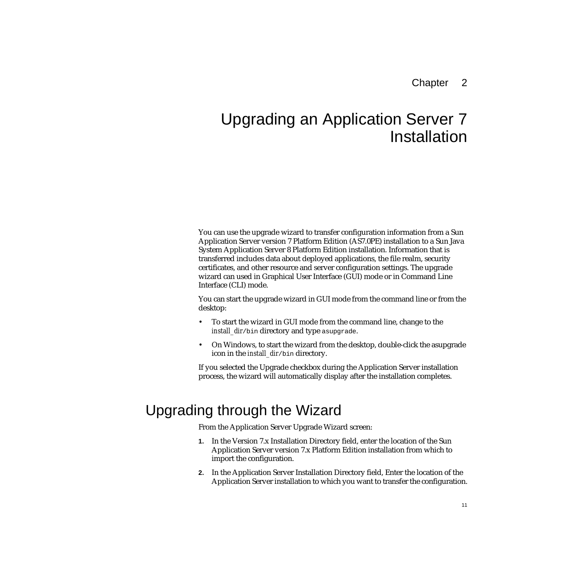# <span id="page-12-3"></span><span id="page-12-1"></span><span id="page-12-0"></span>Upgrading an Application Server 7 Installation

You can use the upgrade wizard to transfer configuration information from a Sun Application Server version 7 Platform Edition (AS7.0PE) installation to a Sun Java System Application Server 8 Platform Edition installation. Information that is transferred includes data about deployed applications, the file realm, security certificates, and other resource and server configuration settings. The upgrade wizard can used in Graphical User Interface (GUI) mode or in Command Line Interface (CLI) mode.

You can start the upgrade wizard in GUI mode from the command line or from the desktop:

- To start the wizard in GUI mode from the command line, change to the *install\_dir*/bin directory and type asupgrade.
- On Windows, to start the wizard from the desktop, double-click the asupgrade icon in the *install\_dir*/bin directory.

If you selected the Upgrade checkbox during the Application Server installation process, the wizard will automatically display after the installation completes.

### <span id="page-12-2"></span>Upgrading through the Wizard

From the Application Server Upgrade Wizard screen:

- **1.** In the Version 7.x Installation Directory field, enter the location of the Sun Application Server version 7.x Platform Edition installation from which to import the configuration.
- **2.** In the Application Server Installation Directory field, Enter the location of the Application Server installation to which you want to transfer the configuration.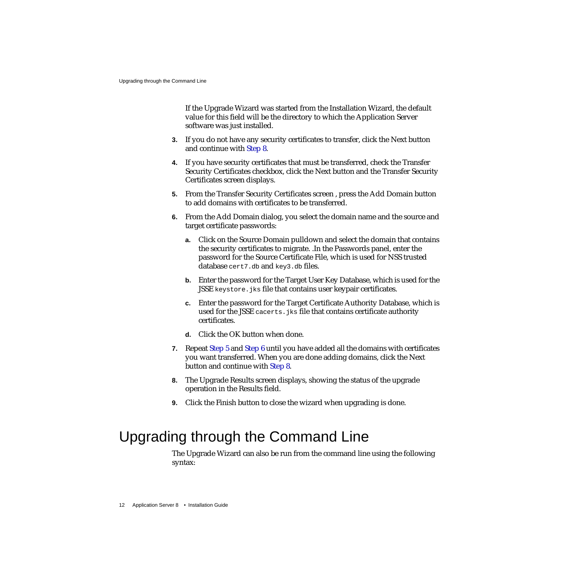If the Upgrade Wizard was started from the Installation Wizard, the default value for this field will be the directory to which the Application Server software was just installed.

- **3.** If you do not have any security certificates to transfer, click the Next button and continue with [Step 8](#page-13-1).
- **4.** If you have security certificates that must be transferred, check the Transfer Security Certificates checkbox, click the Next button and the Transfer Security Certificates screen displays.
- <span id="page-13-2"></span>**5.** From the Transfer Security Certificates screen , press the Add Domain button to add domains with certificates to be transferred.
- <span id="page-13-3"></span>**6.** From the Add Domain dialog, you select the domain name and the source and target certificate passwords:
	- **a.** Click on the Source Domain pulldown and select the domain that contains the security certificates to migrate. .In the Passwords panel, enter the password for the Source Certificate File, which is used for NSS trusted database cert7.db and key3.db files.
	- **b.** Enter the password for the Target User Key Database, which is used for the JSSE keystore. jks file that contains user keypair certificates.
	- **c.** Enter the password for the Target Certificate Authority Database, which is used for the JSSE cacerts. jks file that contains certificate authority certificates.
	- **d.** Click the OK button when done.
- **7.** Repeat [Step 5](#page-13-2) and [Step 6](#page-13-3) until you have added all the domains with certificates you want transferred. When you are done adding domains, click the Next button and continue with [Step 8.](#page-13-1)
- **8.** The Upgrade Results screen displays, showing the status of the upgrade operation in the Results field.
- **9.** Click the Finish button to close the wizard when upgrading is done.

# <span id="page-13-1"></span><span id="page-13-0"></span>Upgrading through the Command Line

The Upgrade Wizard can also be run from the command line using the following syntax: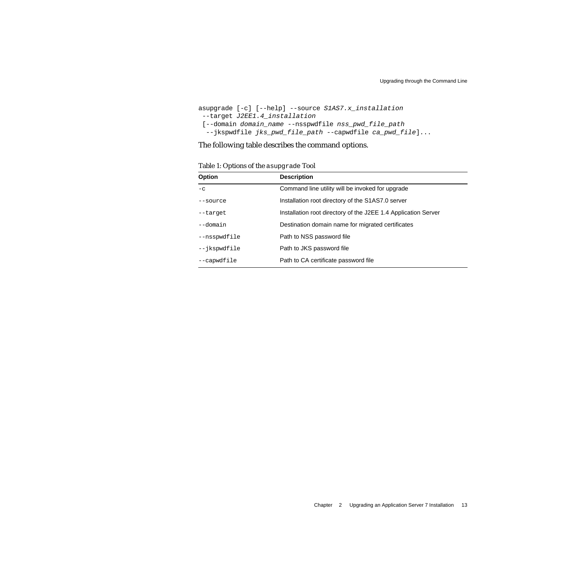```
asupgrade [-c] [--help] --source S1AS7.x_installation
--target J2EE1.4_installation
[--domain domain_name --nsspwdfile nss_pwd_file_path
 --jkspwdfile jks_pwd_file_path --capwdfile ca_pwd_file]...
```
The following table describes the command options.

Table 1: Options of the asupgrade Tool

| <b>Option</b> | <b>Description</b>                                             |
|---------------|----------------------------------------------------------------|
| $-c$          | Command line utility will be invoked for upgrade               |
| --source      | Installation root directory of the S1AS7.0 server              |
| --target      | Installation root directory of the J2EE 1.4 Application Server |
| --domain      | Destination domain name for migrated certificates              |
| --nsspwdfile  | Path to NSS password file                                      |
| --jkspwdfile  | Path to JKS password file                                      |
| --capwdfile   | Path to CA certificate password file                           |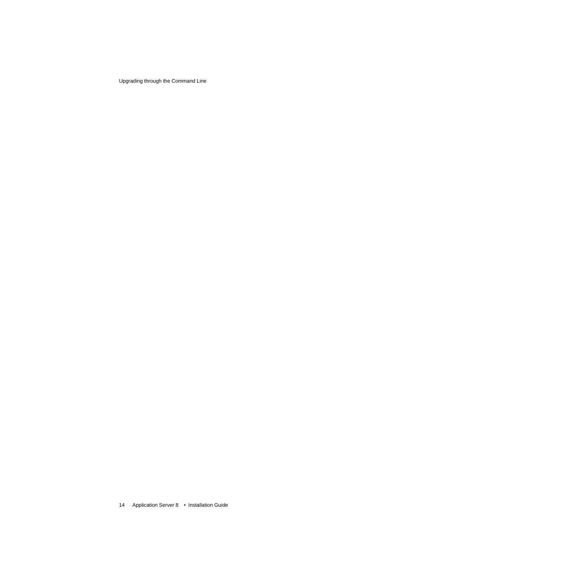Upgrading through the Command Line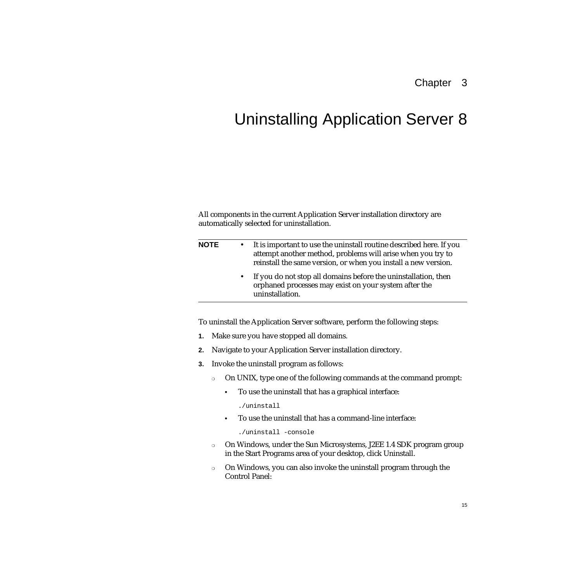# <span id="page-16-2"></span><span id="page-16-1"></span><span id="page-16-0"></span>Uninstalling Application Server 8

All components in the current Application Server installation directory are automatically selected for uninstallation.

| <b>NOTE</b> | $\bullet$ | It is important to use the uninstall routine described here. If you<br>attempt another method, problems will arise when you try to<br>reinstall the same version, or when you install a new version. |
|-------------|-----------|------------------------------------------------------------------------------------------------------------------------------------------------------------------------------------------------------|
|             |           | • If you do not stop all domains before the uninstallation, then<br>orphaned processes may exist on your system after the<br>uninstallation.                                                         |

To uninstall the Application Server software, perform the following steps:

- **1.** Make sure you have stopped all domains.
- **2.** Navigate to your Application Server installation directory.
- **3.** Invoke the uninstall program as follows:
	- ❍ On UNIX, type one of the following commands at the command prompt:
		- **•** To use the uninstall that has a graphical interface:

./uninstall

**•** To use the uninstall that has a command-line interface:

./uninstall -console

- o On Windows, under the Sun Microsystems, J2EE 1.4 SDK program group in the Start Programs area of your desktop, click Uninstall.
- ❍ On Windows, you can also invoke the uninstall program through the Control Panel: